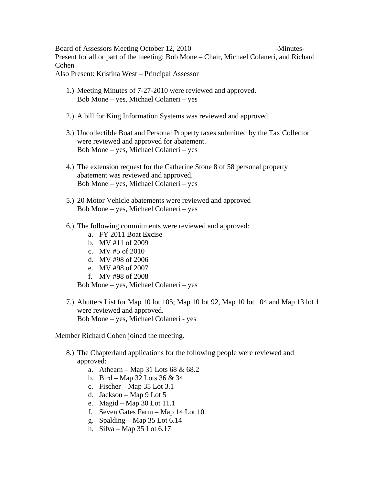Board of Assessors Meeting October 12, 2010 - Minutes-Present for all or part of the meeting: Bob Mone – Chair, Michael Colaneri, and Richard Cohen

Also Present: Kristina West – Principal Assessor

- 1.) Meeting Minutes of 7-27-2010 were reviewed and approved. Bob Mone – yes, Michael Colaneri – yes
- 2.) A bill for King Information Systems was reviewed and approved.
- 3.) Uncollectible Boat and Personal Property taxes submitted by the Tax Collector were reviewed and approved for abatement. Bob Mone – yes, Michael Colaneri – yes
- 4.) The extension request for the Catherine Stone 8 of 58 personal property abatement was reviewed and approved. Bob Mone – yes, Michael Colaneri – yes
- 5.) 20 Motor Vehicle abatements were reviewed and approved Bob Mone – yes, Michael Colaneri – yes
- 6.) The following commitments were reviewed and approved:
	- a. FY 2011 Boat Excise
	- b. MV #11 of 2009
	- c. MV #5 of 2010
	- d. MV #98 of 2006
	- e. MV #98 of 2007
	- f. MV #98 of 2008

Bob Mone – yes, Michael Colaneri – yes

7.) Abutters List for Map 10 lot 105; Map 10 lot 92, Map 10 lot 104 and Map 13 lot 1 were reviewed and approved. Bob Mone – yes, Michael Colaneri - yes

Member Richard Cohen joined the meeting.

- 8.) The Chapterland applications for the following people were reviewed and approved:
	- a. Athearn Map 31 Lots 68 & 68.2
	- b. Bird Map 32 Lots 36 & 34
	- c. Fischer Map  $35$  Lot  $3.1$
	- d. Jackson Map 9 Lot 5
	- e. Magid Map 30 Lot 11.1
	- f. Seven Gates Farm Map 14 Lot 10
	- g. Spalding Map 35 Lot 6.14
	- h. Silva Map 35 Lot 6.17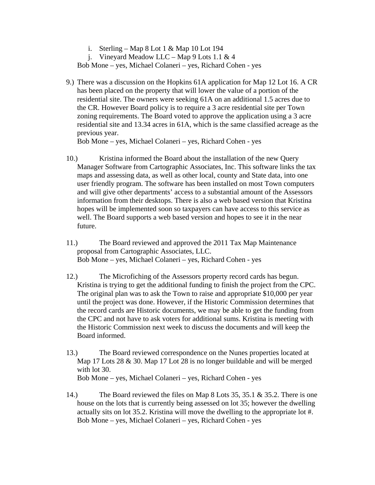i. Sterling – Map 8 Lot 1 & Map 10 Lot 194

j. Vineyard Meadow LLC – Map 9 Lots 1.1 & 4

Bob Mone – yes, Michael Colaneri – yes, Richard Cohen - yes

9.) There was a discussion on the Hopkins 61A application for Map 12 Lot 16. A CR has been placed on the property that will lower the value of a portion of the residential site. The owners were seeking 61A on an additional 1.5 acres due to the CR. However Board policy is to require a 3 acre residential site per Town zoning requirements. The Board voted to approve the application using a 3 acre residential site and 13.34 acres in 61A, which is the same classified acreage as the previous year.

Bob Mone – yes, Michael Colaneri – yes, Richard Cohen - yes

- 10.) Kristina informed the Board about the installation of the new Query Manager Software from Cartographic Associates, Inc. This software links the tax maps and assessing data, as well as other local, county and State data, into one user friendly program. The software has been installed on most Town computers and will give other departments' access to a substantial amount of the Assessors information from their desktops. There is also a web based version that Kristina hopes will be implemented soon so taxpayers can have access to this service as well. The Board supports a web based version and hopes to see it in the near future.
- 11.) The Board reviewed and approved the 2011 Tax Map Maintenance proposal from Cartographic Associates, LLC. Bob Mone – yes, Michael Colaneri – yes, Richard Cohen - yes
- 12.) The Microfiching of the Assessors property record cards has begun. Kristina is trying to get the additional funding to finish the project from the CPC. The original plan was to ask the Town to raise and appropriate \$10,000 per year until the project was done. However, if the Historic Commission determines that the record cards are Historic documents, we may be able to get the funding from the CPC and not have to ask voters for additional sums. Kristina is meeting with the Historic Commission next week to discuss the documents and will keep the Board informed.
- 13.) The Board reviewed correspondence on the Nunes properties located at Map 17 Lots 28 & 30. Map 17 Lot 28 is no longer buildable and will be merged with lot 30. Bob Mone – yes, Michael Colaneri – yes, Richard Cohen - yes
- 14.) The Board reviewed the files on Map 8 Lots 35, 35.1 & 35.2. There is one house on the lots that is currently being assessed on lot 35; however the dwelling actually sits on lot 35.2. Kristina will move the dwelling to the appropriate lot #. Bob Mone – yes, Michael Colaneri – yes, Richard Cohen - yes